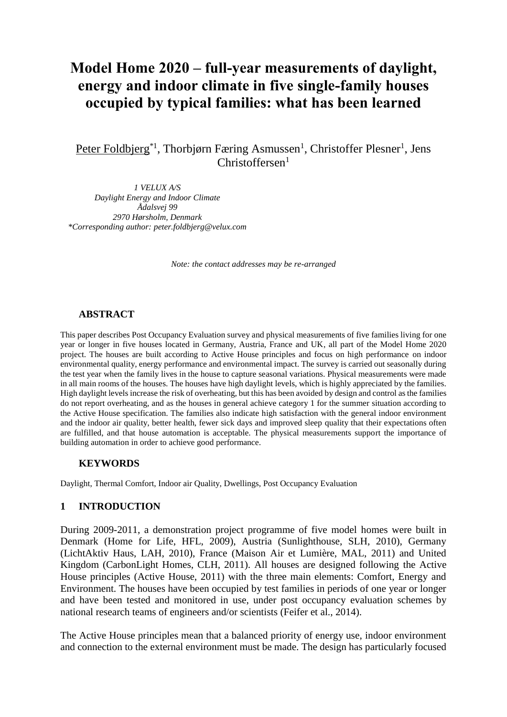# **Model Home 2020 – full-year measurements of daylight, energy and indoor climate in five single-family houses occupied by typical families: what has been learned**

Peter Foldbjerg<sup>\*1</sup>, Thorbjørn Færing Asmussen<sup>1</sup>, Christoffer Plesner<sup>1</sup>, Jens  $Christoffersen<sup>1</sup>$ 

*1 VELUX A/S Daylight Energy and Indoor Climate Ådalsvej 99 2970 Hørsholm, Denmark \*Corresponding author: peter.foldbjerg@velux.com*

*Note: the contact addresses may be re-arranged*

### **ABSTRACT**

This paper describes Post Occupancy Evaluation survey and physical measurements of five families living for one year or longer in five houses located in Germany, Austria, France and UK, all part of the Model Home 2020 project. The houses are built according to Active House principles and focus on high performance on indoor environmental quality, energy performance and environmental impact. The survey is carried out seasonally during the test year when the family lives in the house to capture seasonal variations. Physical measurements were made in all main rooms of the houses. The houses have high daylight levels, which is highly appreciated by the families. High daylight levels increase the risk of overheating, but this has been avoided by design and control as the families do not report overheating, and as the houses in general achieve category 1 for the summer situation according to the Active House specification. The families also indicate high satisfaction with the general indoor environment and the indoor air quality, better health, fewer sick days and improved sleep quality that their expectations often are fulfilled, and that house automation is acceptable. The physical measurements support the importance of building automation in order to achieve good performance.

### **KEYWORDS**

Daylight, Thermal Comfort, Indoor air Quality, Dwellings, Post Occupancy Evaluation

### **1 INTRODUCTION**

During 2009-2011, a demonstration project programme of five model homes were built in Denmark (Home for Life, HFL, 2009), Austria (Sunlighthouse, SLH, 2010), Germany (LichtAktiv Haus, LAH, 2010), France (Maison Air et Lumière, MAL, 2011) and United Kingdom (CarbonLight Homes, CLH, 2011). All houses are designed following the Active House principles (Active House, 2011) with the three main elements: Comfort, Energy and Environment. The houses have been occupied by test families in periods of one year or longer and have been tested and monitored in use, under post occupancy evaluation schemes by national research teams of engineers and/or scientists (Feifer et al., 2014).

The Active House principles mean that a balanced priority of energy use, indoor environment and connection to the external environment must be made. The design has particularly focused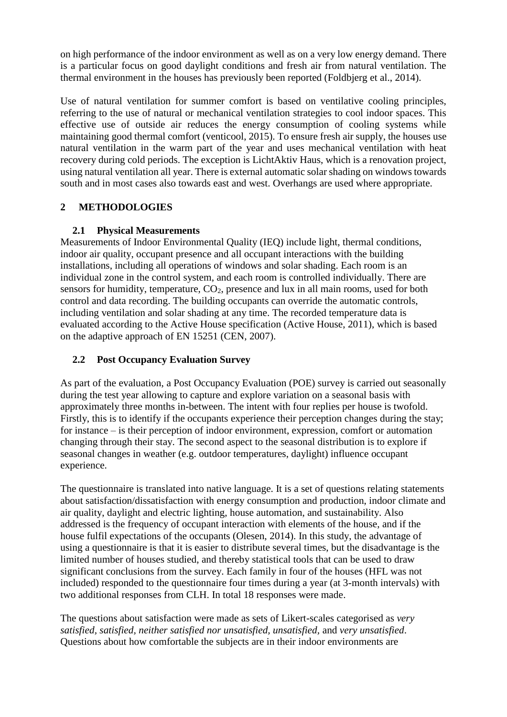on high performance of the indoor environment as well as on a very low energy demand. There is a particular focus on good daylight conditions and fresh air from natural ventilation. The thermal environment in the houses has previously been reported (Foldbjerg et al., 2014).

Use of natural ventilation for summer comfort is based on ventilative cooling principles, referring to the use of natural or mechanical ventilation strategies to cool indoor spaces. This effective use of outside air reduces the energy consumption of cooling systems while maintaining good thermal comfort (venticool, 2015). To ensure fresh air supply, the houses use natural ventilation in the warm part of the year and uses mechanical ventilation with heat recovery during cold periods. The exception is LichtAktiv Haus, which is a renovation project, using natural ventilation all year. There is external automatic solar shading on windows towards south and in most cases also towards east and west. Overhangs are used where appropriate.

# **2 METHODOLOGIES**

# **2.1 Physical Measurements**

Measurements of Indoor Environmental Quality (IEQ) include light, thermal conditions, indoor air quality, occupant presence and all occupant interactions with the building installations, including all operations of windows and solar shading. Each room is an individual zone in the control system, and each room is controlled individually. There are sensors for humidity, temperature,  $CO<sub>2</sub>$ , presence and lux in all main rooms, used for both control and data recording. The building occupants can override the automatic controls, including ventilation and solar shading at any time. The recorded temperature data is evaluated according to the Active House specification (Active House, 2011), which is based on the adaptive approach of EN 15251 (CEN, 2007).

# **2.2 Post Occupancy Evaluation Survey**

As part of the evaluation, a Post Occupancy Evaluation (POE) survey is carried out seasonally during the test year allowing to capture and explore variation on a seasonal basis with approximately three months in-between. The intent with four replies per house is twofold. Firstly, this is to identify if the occupants experience their perception changes during the stay; for instance – is their perception of indoor environment, expression, comfort or automation changing through their stay. The second aspect to the seasonal distribution is to explore if seasonal changes in weather (e.g. outdoor temperatures, daylight) influence occupant experience.

The questionnaire is translated into native language. It is a set of questions relating statements about satisfaction/dissatisfaction with energy consumption and production, indoor climate and air quality, daylight and electric lighting, house automation, and sustainability. Also addressed is the frequency of occupant interaction with elements of the house, and if the house fulfil expectations of the occupants (Olesen, 2014). In this study, the advantage of using a questionnaire is that it is easier to distribute several times, but the disadvantage is the limited number of houses studied, and thereby statistical tools that can be used to draw significant conclusions from the survey. Each family in four of the houses (HFL was not included) responded to the questionnaire four times during a year (at 3-month intervals) with two additional responses from CLH. In total 18 responses were made.

The questions about satisfaction were made as sets of Likert-scales categorised as *very satisfied, satisfied, neither satisfied nor unsatisfied, unsatisfied,* and *very unsatisfied*. Questions about how comfortable the subjects are in their indoor environments are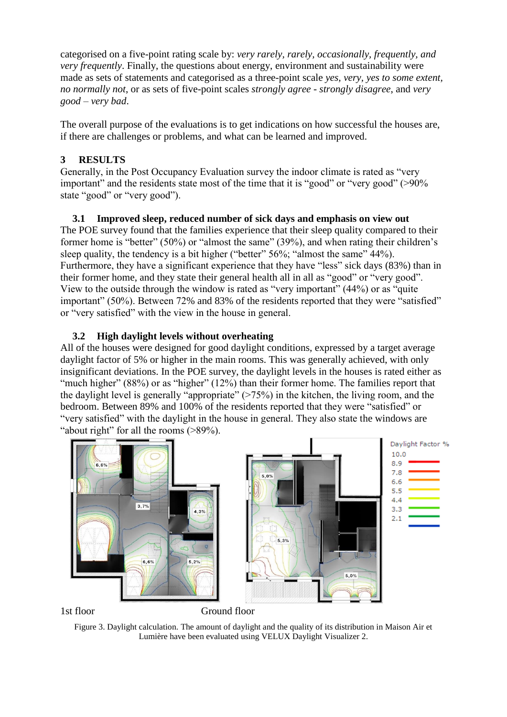categorised on a five-point rating scale by: *very rarely, rarely, occasionally, frequently, and very frequently*. Finally, the questions about energy, environment and sustainability were made as sets of statements and categorised as a three-point scale *yes, very, yes to some extent, no normally not*, or as sets of five-point scales *strongly agree - strongly disagree*, and *very good – very bad*.

The overall purpose of the evaluations is to get indications on how successful the houses are, if there are challenges or problems, and what can be learned and improved.

# **3 RESULTS**

Generally, in the Post Occupancy Evaluation survey the indoor climate is rated as "very important" and the residents state most of the time that it is "good" or "very good" (>90% state "good" or "very good").

# **3.1 Improved sleep, reduced number of sick days and emphasis on view out**

The POE survey found that the families experience that their sleep quality compared to their former home is "better" (50%) or "almost the same" (39%), and when rating their children's sleep quality, the tendency is a bit higher ("better" 56%; "almost the same" 44%). Furthermore, they have a significant experience that they have "less" sick days (83%) than in their former home, and they state their general health all in all as "good" or "very good". View to the outside through the window is rated as "very important" (44%) or as "quite important" (50%). Between 72% and 83% of the residents reported that they were "satisfied" or "very satisfied" with the view in the house in general.

# **3.2 High daylight levels without overheating**

All of the houses were designed for good daylight conditions, expressed by a target average daylight factor of 5% or higher in the main rooms. This was generally achieved, with only insignificant deviations. In the POE survey, the daylight levels in the houses is rated either as "much higher" (88%) or as "higher" (12%) than their former home. The families report that the daylight level is generally "appropriate" (>75%) in the kitchen, the living room, and the bedroom. Between 89% and 100% of the residents reported that they were "satisfied" or "very satisfied" with the daylight in the house in general. They also state the windows are "about right" for all the rooms (>89%).



1st floor Ground floor

Figure 3. Daylight calculation. The amount of daylight and the quality of its distribution in Maison Air et Lumière have been evaluated using VELUX Daylight Visualizer 2.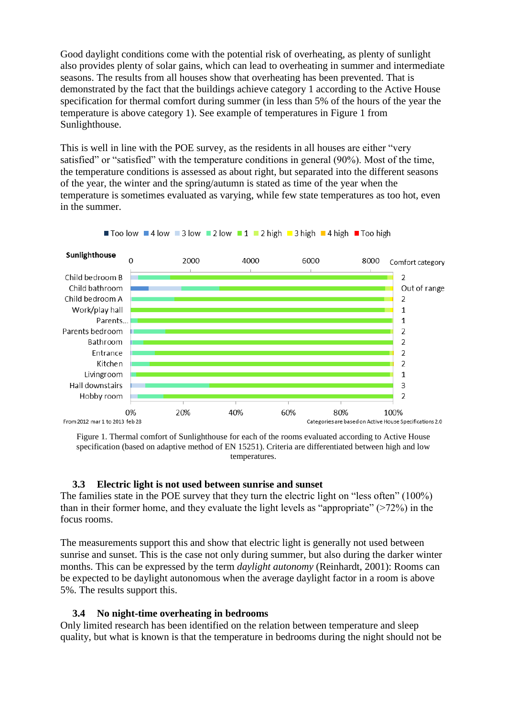Good daylight conditions come with the potential risk of overheating, as plenty of sunlight also provides plenty of solar gains, which can lead to overheating in summer and intermediate seasons. The results from all houses show that overheating has been prevented. That is demonstrated by the fact that the buildings achieve category 1 according to the Active House specification for thermal comfort during summer (in less than 5% of the hours of the year the temperature is above category 1). See example of temperatures in [Figure 1](#page-3-0) from Sunlighthouse.

This is well in line with the POE survey, as the residents in all houses are either "very satisfied" or "satisfied" with the temperature conditions in general (90%). Most of the time, the temperature conditions is assessed as about right, but separated into the different seasons of the year, the winter and the spring/autumn is stated as time of the year when the temperature is sometimes evaluated as varying, while few state temperatures as too hot, even in the summer.



<span id="page-3-0"></span>Figure 1. Thermal comfort of Sunlighthouse for each of the rooms evaluated according to Active House specification (based on adaptive method of EN 15251). Criteria are differentiated between high and low temperatures.

### **3.3 Electric light is not used between sunrise and sunset**

The families state in the POE survey that they turn the electric light on "less often" (100%) than in their former home, and they evaluate the light levels as "appropriate" (>72%) in the focus rooms.

The measurements support this and show that electric light is generally not used between sunrise and sunset. This is the case not only during summer, but also during the darker winter months. This can be expressed by the term *daylight autonomy* (Reinhardt, 2001): Rooms can be expected to be daylight autonomous when the average daylight factor in a room is above 5%. The results support this.

### **3.4 No night-time overheating in bedrooms**

Only limited research has been identified on the relation between temperature and sleep quality, but what is known is that the temperature in bedrooms during the night should not be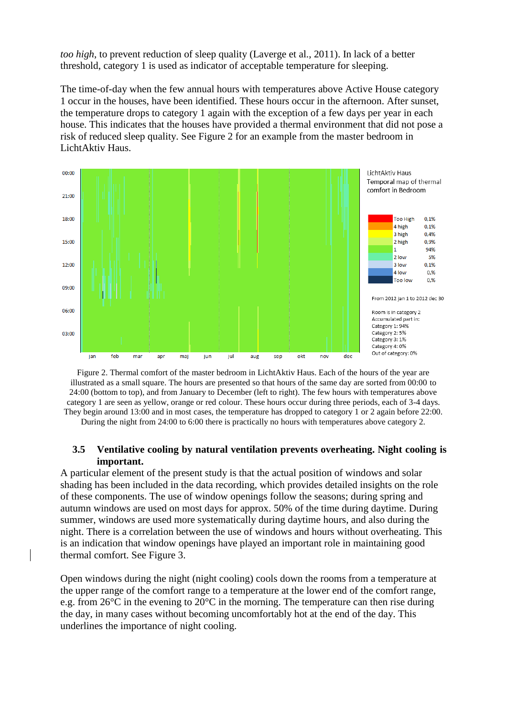*too high*, to prevent reduction of sleep quality (Laverge et al., 2011). In lack of a better threshold, category 1 is used as indicator of acceptable temperature for sleeping.

The time-of-day when the few annual hours with temperatures above Active House category 1 occur in the houses, have been identified. These hours occur in the afternoon. After sunset, the temperature drops to category 1 again with the exception of a few days per year in each house. This indicates that the houses have provided a thermal environment that did not pose a risk of reduced sleep quality. See [Figure 2](#page-4-0) for an example from the master bedroom in LichtAktiv Haus.



<span id="page-4-0"></span>Figure 2. Thermal comfort of the master bedroom in LichtAktiv Haus. Each of the hours of the year are illustrated as a small square. The hours are presented so that hours of the same day are sorted from 00:00 to 24:00 (bottom to top), and from January to December (left to right). The few hours with temperatures above category 1 are seen as yellow, orange or red colour. These hours occur during three periods, each of 3-4 days. They begin around 13:00 and in most cases, the temperature has dropped to category 1 or 2 again before 22:00.

During the night from 24:00 to 6:00 there is practically no hours with temperatures above category 2.

### **3.5 Ventilative cooling by natural ventilation prevents overheating. Night cooling is important.**

A particular element of the present study is that the actual position of windows and solar shading has been included in the data recording, which provides detailed insights on the role of these components. The use of window openings follow the seasons; during spring and autumn windows are used on most days for approx. 50% of the time during daytime. During summer, windows are used more systematically during daytime hours, and also during the night. There is a correlation between the use of windows and hours without overheating. This is an indication that window openings have played an important role in maintaining good thermal comfort. See [Figure 3.](#page-5-0)

Open windows during the night (night cooling) cools down the rooms from a temperature at the upper range of the comfort range to a temperature at the lower end of the comfort range, e.g. from 26°C in the evening to 20°C in the morning. The temperature can then rise during the day, in many cases without becoming uncomfortably hot at the end of the day. This underlines the importance of night cooling.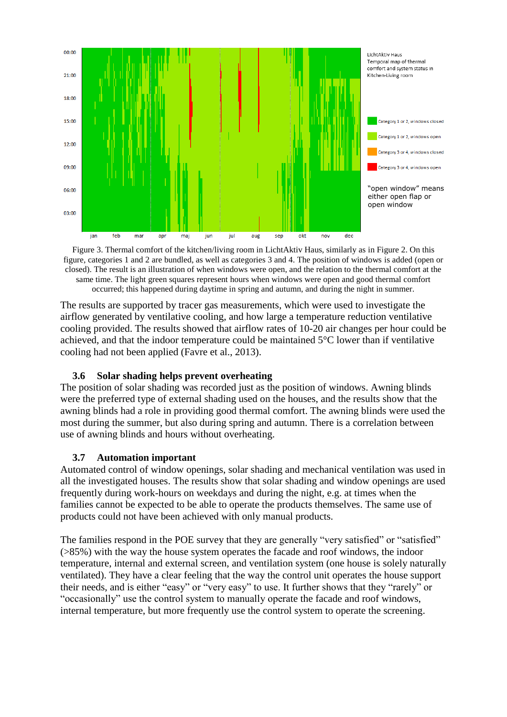

<span id="page-5-0"></span>Figure 3. Thermal comfort of the kitchen/living room in LichtAktiv Haus, similarly as in Figure 2. On this figure, categories 1 and 2 are bundled, as well as categories 3 and 4. The position of windows is added (open or closed). The result is an illustration of when windows were open, and the relation to the thermal comfort at the same time. The light green squares represent hours when windows were open and good thermal comfort occurred; this happened during daytime in spring and autumn, and during the night in summer.

The results are supported by tracer gas measurements, which were used to investigate the airflow generated by ventilative cooling, and how large a temperature reduction ventilative cooling provided. The results showed that airflow rates of 10-20 air changes per hour could be achieved, and that the indoor temperature could be maintained 5°C lower than if ventilative cooling had not been applied (Favre et al., 2013).

### **3.6 Solar shading helps prevent overheating**

The position of solar shading was recorded just as the position of windows. Awning blinds were the preferred type of external shading used on the houses, and the results show that the awning blinds had a role in providing good thermal comfort. The awning blinds were used the most during the summer, but also during spring and autumn. There is a correlation between use of awning blinds and hours without overheating.

# **3.7 Automation important**

Automated control of window openings, solar shading and mechanical ventilation was used in all the investigated houses. The results show that solar shading and window openings are used frequently during work-hours on weekdays and during the night, e.g. at times when the families cannot be expected to be able to operate the products themselves. The same use of products could not have been achieved with only manual products.

The families respond in the POE survey that they are generally "very satisfied" or "satisfied" (>85%) with the way the house system operates the facade and roof windows, the indoor temperature, internal and external screen, and ventilation system (one house is solely naturally ventilated). They have a clear feeling that the way the control unit operates the house support their needs, and is either "easy" or "very easy" to use. It further shows that they "rarely" or "occasionally" use the control system to manually operate the facade and roof windows, internal temperature, but more frequently use the control system to operate the screening.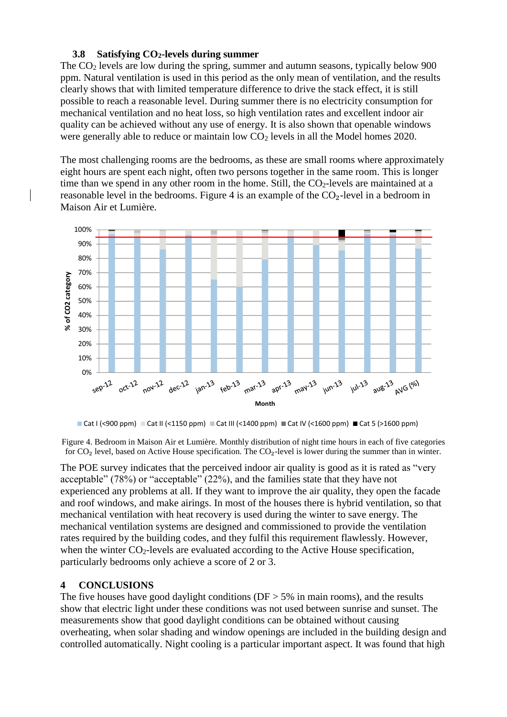### **3.8 Satisfying CO2-levels during summer**

The CO<sub>2</sub> levels are low during the spring, summer and autumn seasons, typically below 900 ppm. Natural ventilation is used in this period as the only mean of ventilation, and the results clearly shows that with limited temperature difference to drive the stack effect, it is still possible to reach a reasonable level. During summer there is no electricity consumption for mechanical ventilation and no heat loss, so high ventilation rates and excellent indoor air quality can be achieved without any use of energy. It is also shown that openable windows were generally able to reduce or maintain low  $CO<sub>2</sub>$  levels in all the Model homes 2020.

The most challenging rooms are the bedrooms, as these are small rooms where approximately eight hours are spent each night, often two persons together in the same room. This is longer time than we spend in any other room in the home. Still, the  $CO<sub>2</sub>$ -levels are maintained at a reasonable level in the bedrooms. [Figure 4](#page-6-0) is an example of the  $CO<sub>2</sub>$ -level in a bedroom in Maison Air et Lumière.  $\mathbf{H}$  and  $\mathbf{H}$  and  $\mathbf{H}$  are  $\mathbf{H}$  and  $\mathbf{H}$  are  $\mathbf{H}$  and  $\mathbf{H}$  are  $\mathbf{H}$  and  $\mathbf{H}$  are  $\mathbf{H}$  and  $\mathbf{H}$  are  $\mathbf{H}$  and  $\mathbf{H}$  are  $\mathbf{H}$  and  $\mathbf{H}$  are  $\mathbf{H}$  and  $\mathbf{H}$  are



Cat I (<900 ppm) Cat II (<1150 ppm) Cat III (<1400 ppm) Cat IV (<1600 ppm) Cat 5 (>1600 ppm)

<span id="page-6-0"></span>Figure 4. Bedroom in Maison Air et Lumière. Monthly distribution of night time hours in each of five categories for CO<sub>2</sub> level, based on Active House specification. The CO<sub>2</sub>-level is lower during the summer than in winter.

The POE survey indicates that the perceived indoor air quality is good as it is rated as "very acceptable" (78%) or "acceptable" (22%), and the families state that they have not experienced any problems at all. If they want to improve the air quality, they open the facade and roof windows, and make airings. In most of the houses there is hybrid ventilation, so that mechanical ventilation with heat recovery is used during the winter to save energy. The mechanical ventilation systems are designed and commissioned to provide the ventilation rates required by the building codes, and they fulfil this requirement flawlessly. However, when the winter  $CO<sub>2</sub>$ -levels are evaluated according to the Active House specification, particularly bedrooms only achieve a score of 2 or 3.

### **4 CONCLUSIONS**

The five houses have good daylight conditions ( $DF > 5\%$  in main rooms), and the results show that electric light under these conditions was not used between sunrise and sunset. The measurements show that good daylight conditions can be obtained without causing overheating, when solar shading and window openings are included in the building design and controlled automatically. Night cooling is a particular important aspect. It was found that high